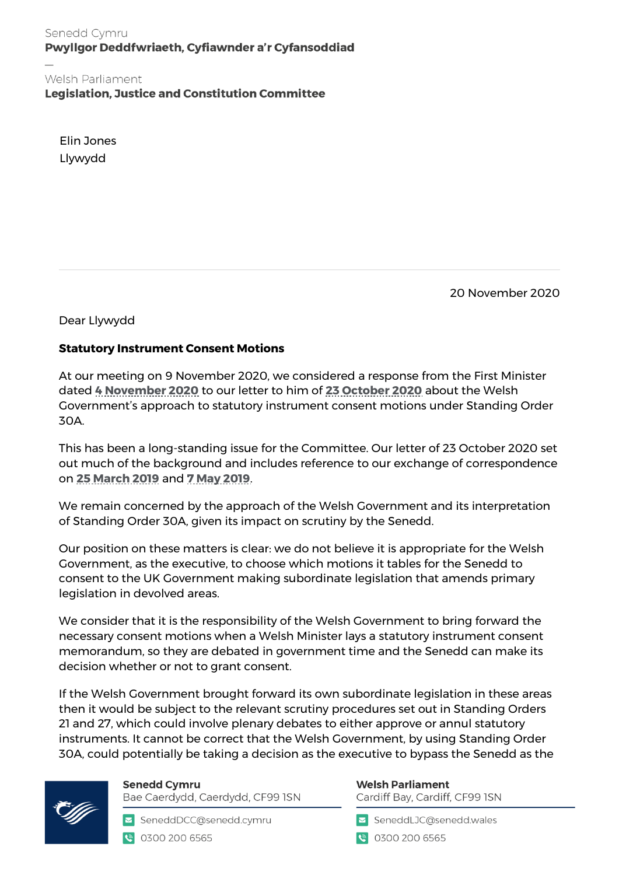Senedd Cymru Pwyllgor Deddfwriaeth, Cyfiawnder a'r Cyfansoddiad

Welsh Parliament **Legislation, Justice and Constitution Committee** 

Elin Jones Llywydd

20 November 2020

Dear Llywydd

## **Statutory Instrument Consent Motions**

At our meeting on 9 November 2020, we considered a response from the First Minister dated **[4 November](https://business.senedd.wales/documents/s108407/CLA5-32-20%20Paper%2042.pdf) 2020** to our letter to him of **[23 October 2020](https://business.senedd.wales/documents/s108408/CLA5-32-20%20Paper%2043.pdf)** about the Welsh Government's approach to statutory instrument consent motions under Standing Order 30A.

This has been a long-standing issue for the Committee. Our letter of 23 October 2020 set out much of the background and includes reference to our exchange of correspondence on **[25 March 2019](https://business.senedd.wales/documents/s88048/Letter%20from%20the%20Chair%20of%20the%20Committee%20to%20the%20Llywydd%20-%2025%20March%202019.pdf)** and **[7 May 2019](https://business.senedd.wales/documents/s88047/Letter%20from%20the%20Llywydd%20-%207%20May%202019.pdf)**.

We remain concerned by the approach of the Welsh Government and its interpretation of Standing Order 30A, given its impact on scrutiny by the Senedd.

Our position on these matters is clear: we do not believe it is appropriate for the Welsh Government, as the executive, to choose which motions it tables for the Senedd to consent to the UK Government making subordinate legislation that amends primary legislation in devolved areas.

We consider that it is the responsibility of the Welsh Government to bring forward the necessary consent motions when a Welsh Minister lays a statutory instrument consent memorandum, so they are debated in government time and the Senedd can make its decision whether or not to grant consent.

If the Welsh Government brought forward its own subordinate legislation in these areas then it would be subject to the relevant scrutiny procedures set out in Standing Orders 21 and 27, which could involve plenary debates to either approve or annul statutory instruments. It cannot be correct that the Welsh Government, by using Standing Order 30A, could potentially be taking a decision as the executive to bypass the Senedd as the



**Senedd Cymru** Bae Caerdydd, Caerdydd, CF99 ISN

SeneddDCC@senedd.cymru € 0300 200 6565

## **Welsh Parliament**

Cardiff Bay, Cardiff, CF99 ISN

SeneddLJC@senedd.wales

● 0300 200 6565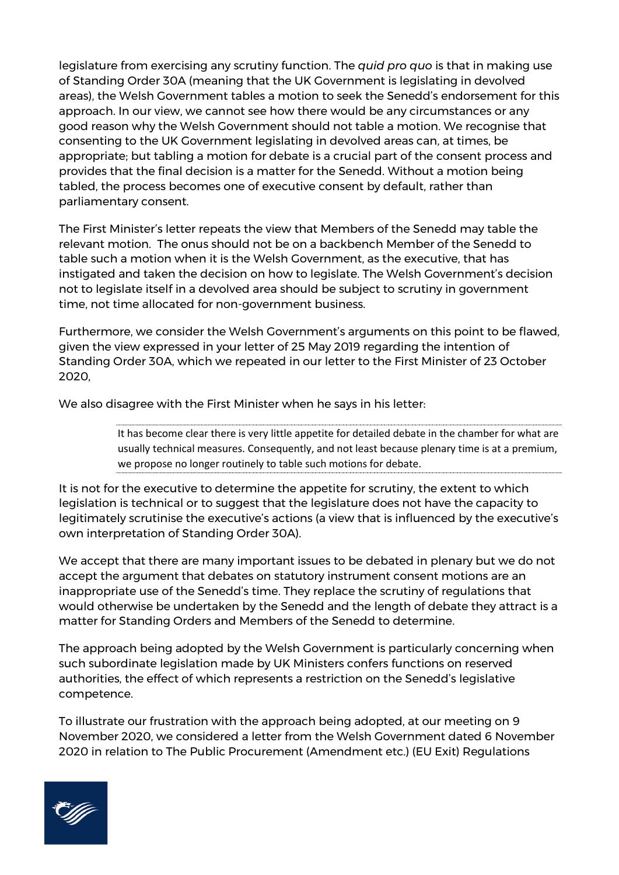legislature from exercising any scrutiny function. The *quid pro quo* is that in making use of Standing Order 30A (meaning that the UK Government is legislating in devolved areas), the Welsh Government tables a motion to seek the Senedd's endorsement for this approach. In our view, we cannot see how there would be any circumstances or any good reason why the Welsh Government should not table a motion. We recognise that consenting to the UK Government legislating in devolved areas can, at times, be appropriate; but tabling a motion for debate is a crucial part of the consent process and provides that the final decision is a matter for the Senedd. Without a motion being tabled, the process becomes one of executive consent by default, rather than parliamentary consent.

The First Minister's letter repeats the view that Members of the Senedd may table the relevant motion. The onus should not be on a backbench Member of the Senedd to table such a motion when it is the Welsh Government, as the executive, that has instigated and taken the decision on how to legislate. The Welsh Government's decision not to legislate itself in a devolved area should be subject to scrutiny in government time, not time allocated for non-government business.

Furthermore, we consider the Welsh Government's arguments on this point to be flawed, given the view expressed in your letter of 25 May 2019 regarding the intention of Standing Order 30A, which we repeated in our letter to the First Minister of 23 October 2020,

We also disagree with the First Minister when he says in his letter:

It has become clear there is very little appetite for detailed debate in the chamber for what are usually technical measures. Consequently, and not least because plenary time is at a premium, we propose no longer routinely to table such motions for debate.

It is not for the executive to determine the appetite for scrutiny, the extent to which legislation is technical or to suggest that the legislature does not have the capacity to legitimately scrutinise the executive's actions (a view that is influenced by the executive's own interpretation of Standing Order 30A).

We accept that there are many important issues to be debated in plenary but we do not accept the argument that debates on statutory instrument consent motions are an inappropriate use of the Senedd's time. They replace the scrutiny of regulations that would otherwise be undertaken by the Senedd and the length of debate they attract is a matter for Standing Orders and Members of the Senedd to determine.

The approach being adopted by the Welsh Government is particularly concerning when such subordinate legislation made by UK Ministers confers functions on reserved authorities, the effect of which represents a restriction on the Senedd's legislative competence.

To illustrate our frustration with the approach being adopted, at our meeting on 9 November 2020, we considered a letter from the Welsh Government dated 6 November 2020 in relation to The Public Procurement (Amendment etc.) (EU Exit) Regulations